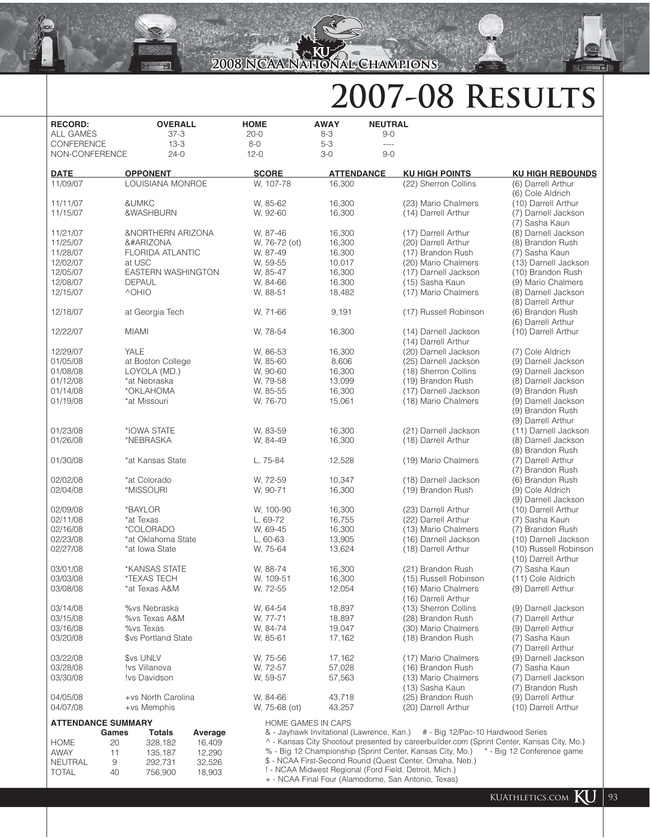## **2007-08 Results**

| <b>RECORD:</b>   | <b>OVERALL</b>                                                                                                                                                                                                                                                                                                                                                                                                                                                                                                                                                                                                                                                                                                                                                                                                                                                                                                                                                                                                                                                                                                                                                                                                                                                                                                                                                                                                                                                                                                                                                                                                                                                                                                                                                                                                                                                                                                                                                                                                                                                                                                                                                                                                                                                                                                                                                                                                                                                                                                                                                                                                                                                                                                                                                                                                                                                                                                                                                                                                                                                                                                                                                                                                                                                                                                                                                                                                                                                                                                                                                                                                                                                                                                                                                                                                                                                                                                                                                                                                                                                                                                                                                                                                                                                                                                                                                                                                                                                                                                                                                                                                                                                                                                                                                                                                                                                                                                                                                                                                                                                                                                                                                                                                                                                                                                                                                                                                                                                                                                                                                                                                                                                                                                                                                                                                                                                                                                                                                                                                                                                                                                                                                                                                                                                                                                                                                                                                                                                                                                                                                                                                                                                                                                                                                                                                                                                                                                                                                                                                                                                                                                                                                                                                                                                                                                                                                                                                       | <b>HOME</b>  | <b>AWAY</b>       | <b>NEUTRAL</b> |                       |                         |
|------------------|----------------------------------------------------------------------------------------------------------------------------------------------------------------------------------------------------------------------------------------------------------------------------------------------------------------------------------------------------------------------------------------------------------------------------------------------------------------------------------------------------------------------------------------------------------------------------------------------------------------------------------------------------------------------------------------------------------------------------------------------------------------------------------------------------------------------------------------------------------------------------------------------------------------------------------------------------------------------------------------------------------------------------------------------------------------------------------------------------------------------------------------------------------------------------------------------------------------------------------------------------------------------------------------------------------------------------------------------------------------------------------------------------------------------------------------------------------------------------------------------------------------------------------------------------------------------------------------------------------------------------------------------------------------------------------------------------------------------------------------------------------------------------------------------------------------------------------------------------------------------------------------------------------------------------------------------------------------------------------------------------------------------------------------------------------------------------------------------------------------------------------------------------------------------------------------------------------------------------------------------------------------------------------------------------------------------------------------------------------------------------------------------------------------------------------------------------------------------------------------------------------------------------------------------------------------------------------------------------------------------------------------------------------------------------------------------------------------------------------------------------------------------------------------------------------------------------------------------------------------------------------------------------------------------------------------------------------------------------------------------------------------------------------------------------------------------------------------------------------------------------------------------------------------------------------------------------------------------------------------------------------------------------------------------------------------------------------------------------------------------------------------------------------------------------------------------------------------------------------------------------------------------------------------------------------------------------------------------------------------------------------------------------------------------------------------------------------------------------------------------------------------------------------------------------------------------------------------------------------------------------------------------------------------------------------------------------------------------------------------------------------------------------------------------------------------------------------------------------------------------------------------------------------------------------------------------------------------------------------------------------------------------------------------------------------------------------------------------------------------------------------------------------------------------------------------------------------------------------------------------------------------------------------------------------------------------------------------------------------------------------------------------------------------------------------------------------------------------------------------------------------------------------------------------------------------------------------------------------------------------------------------------------------------------------------------------------------------------------------------------------------------------------------------------------------------------------------------------------------------------------------------------------------------------------------------------------------------------------------------------------------------------------------------------------------------------------------------------------------------------------------------------------------------------------------------------------------------------------------------------------------------------------------------------------------------------------------------------------------------------------------------------------------------------------------------------------------------------------------------------------------------------------------------------------------------------------------------------------------------------------------------------------------------------------------------------------------------------------------------------------------------------------------------------------------------------------------------------------------------------------------------------------------------------------------------------------------------------------------------------------------------------------------------------------------------------------------------------------------------------------------------------------------------------------------------------------------------------------------------------------------------------------------------------------------------------------------------------------------------------------------------------------------------------------------------------------------------------------------------------------------------------------------------------------------------------------------------------------------------------------------------------------------------------------------------------------------------------------------------------------------------------------------------------------------------------------------------------------------------------------------------------------------------------------------------------------------------------------------------------------------------------------------------------------------------------------------------------------------------------------------------------------------------------|--------------|-------------------|----------------|-----------------------|-------------------------|
| <b>ALL GAMES</b> | $37 - 3$                                                                                                                                                                                                                                                                                                                                                                                                                                                                                                                                                                                                                                                                                                                                                                                                                                                                                                                                                                                                                                                                                                                                                                                                                                                                                                                                                                                                                                                                                                                                                                                                                                                                                                                                                                                                                                                                                                                                                                                                                                                                                                                                                                                                                                                                                                                                                                                                                                                                                                                                                                                                                                                                                                                                                                                                                                                                                                                                                                                                                                                                                                                                                                                                                                                                                                                                                                                                                                                                                                                                                                                                                                                                                                                                                                                                                                                                                                                                                                                                                                                                                                                                                                                                                                                                                                                                                                                                                                                                                                                                                                                                                                                                                                                                                                                                                                                                                                                                                                                                                                                                                                                                                                                                                                                                                                                                                                                                                                                                                                                                                                                                                                                                                                                                                                                                                                                                                                                                                                                                                                                                                                                                                                                                                                                                                                                                                                                                                                                                                                                                                                                                                                                                                                                                                                                                                                                                                                                                                                                                                                                                                                                                                                                                                                                                                                                                                                                                             | $20 - 0$     | $8 - 3$           | $9 - 0$        |                       |                         |
| CONFERENCE       | $13 - 3$                                                                                                                                                                                                                                                                                                                                                                                                                                                                                                                                                                                                                                                                                                                                                                                                                                                                                                                                                                                                                                                                                                                                                                                                                                                                                                                                                                                                                                                                                                                                                                                                                                                                                                                                                                                                                                                                                                                                                                                                                                                                                                                                                                                                                                                                                                                                                                                                                                                                                                                                                                                                                                                                                                                                                                                                                                                                                                                                                                                                                                                                                                                                                                                                                                                                                                                                                                                                                                                                                                                                                                                                                                                                                                                                                                                                                                                                                                                                                                                                                                                                                                                                                                                                                                                                                                                                                                                                                                                                                                                                                                                                                                                                                                                                                                                                                                                                                                                                                                                                                                                                                                                                                                                                                                                                                                                                                                                                                                                                                                                                                                                                                                                                                                                                                                                                                                                                                                                                                                                                                                                                                                                                                                                                                                                                                                                                                                                                                                                                                                                                                                                                                                                                                                                                                                                                                                                                                                                                                                                                                                                                                                                                                                                                                                                                                                                                                                                                             | $8-0$        | $5-3$             | ----           |                       |                         |
| NON-CONFERENCE   | $24-0$                                                                                                                                                                                                                                                                                                                                                                                                                                                                                                                                                                                                                                                                                                                                                                                                                                                                                                                                                                                                                                                                                                                                                                                                                                                                                                                                                                                                                                                                                                                                                                                                                                                                                                                                                                                                                                                                                                                                                                                                                                                                                                                                                                                                                                                                                                                                                                                                                                                                                                                                                                                                                                                                                                                                                                                                                                                                                                                                                                                                                                                                                                                                                                                                                                                                                                                                                                                                                                                                                                                                                                                                                                                                                                                                                                                                                                                                                                                                                                                                                                                                                                                                                                                                                                                                                                                                                                                                                                                                                                                                                                                                                                                                                                                                                                                                                                                                                                                                                                                                                                                                                                                                                                                                                                                                                                                                                                                                                                                                                                                                                                                                                                                                                                                                                                                                                                                                                                                                                                                                                                                                                                                                                                                                                                                                                                                                                                                                                                                                                                                                                                                                                                                                                                                                                                                                                                                                                                                                                                                                                                                                                                                                                                                                                                                                                                                                                                                                               | $12 - 0$     | $3-0$             | $9 - 0$        |                       |                         |
| <b>DATE</b>      | <b>OPPONENT</b>                                                                                                                                                                                                                                                                                                                                                                                                                                                                                                                                                                                                                                                                                                                                                                                                                                                                                                                                                                                                                                                                                                                                                                                                                                                                                                                                                                                                                                                                                                                                                                                                                                                                                                                                                                                                                                                                                                                                                                                                                                                                                                                                                                                                                                                                                                                                                                                                                                                                                                                                                                                                                                                                                                                                                                                                                                                                                                                                                                                                                                                                                                                                                                                                                                                                                                                                                                                                                                                                                                                                                                                                                                                                                                                                                                                                                                                                                                                                                                                                                                                                                                                                                                                                                                                                                                                                                                                                                                                                                                                                                                                                                                                                                                                                                                                                                                                                                                                                                                                                                                                                                                                                                                                                                                                                                                                                                                                                                                                                                                                                                                                                                                                                                                                                                                                                                                                                                                                                                                                                                                                                                                                                                                                                                                                                                                                                                                                                                                                                                                                                                                                                                                                                                                                                                                                                                                                                                                                                                                                                                                                                                                                                                                                                                                                                                                                                                                                                      | <b>SCORE</b> | <b>ATTENDANCE</b> |                | <b>KU HIGH POINTS</b> | <b>KU HIGH REBOUNDS</b> |
| 11/09/07         | LOUISIANA MONROE                                                                                                                                                                                                                                                                                                                                                                                                                                                                                                                                                                                                                                                                                                                                                                                                                                                                                                                                                                                                                                                                                                                                                                                                                                                                                                                                                                                                                                                                                                                                                                                                                                                                                                                                                                                                                                                                                                                                                                                                                                                                                                                                                                                                                                                                                                                                                                                                                                                                                                                                                                                                                                                                                                                                                                                                                                                                                                                                                                                                                                                                                                                                                                                                                                                                                                                                                                                                                                                                                                                                                                                                                                                                                                                                                                                                                                                                                                                                                                                                                                                                                                                                                                                                                                                                                                                                                                                                                                                                                                                                                                                                                                                                                                                                                                                                                                                                                                                                                                                                                                                                                                                                                                                                                                                                                                                                                                                                                                                                                                                                                                                                                                                                                                                                                                                                                                                                                                                                                                                                                                                                                                                                                                                                                                                                                                                                                                                                                                                                                                                                                                                                                                                                                                                                                                                                                                                                                                                                                                                                                                                                                                                                                                                                                                                                                                                                                                                                     | W. 107-78    | 16,300            |                | (22) Sherron Collins  | (6) Darrell Arthur      |
|                  |                                                                                                                                                                                                                                                                                                                                                                                                                                                                                                                                                                                                                                                                                                                                                                                                                                                                                                                                                                                                                                                                                                                                                                                                                                                                                                                                                                                                                                                                                                                                                                                                                                                                                                                                                                                                                                                                                                                                                                                                                                                                                                                                                                                                                                                                                                                                                                                                                                                                                                                                                                                                                                                                                                                                                                                                                                                                                                                                                                                                                                                                                                                                                                                                                                                                                                                                                                                                                                                                                                                                                                                                                                                                                                                                                                                                                                                                                                                                                                                                                                                                                                                                                                                                                                                                                                                                                                                                                                                                                                                                                                                                                                                                                                                                                                                                                                                                                                                                                                                                                                                                                                                                                                                                                                                                                                                                                                                                                                                                                                                                                                                                                                                                                                                                                                                                                                                                                                                                                                                                                                                                                                                                                                                                                                                                                                                                                                                                                                                                                                                                                                                                                                                                                                                                                                                                                                                                                                                                                                                                                                                                                                                                                                                                                                                                                                                                                                                                                      |              |                   |                |                       | (6) Cole Aldrich        |
| 11/11/07         | &UMKC                                                                                                                                                                                                                                                                                                                                                                                                                                                                                                                                                                                                                                                                                                                                                                                                                                                                                                                                                                                                                                                                                                                                                                                                                                                                                                                                                                                                                                                                                                                                                                                                                                                                                                                                                                                                                                                                                                                                                                                                                                                                                                                                                                                                                                                                                                                                                                                                                                                                                                                                                                                                                                                                                                                                                                                                                                                                                                                                                                                                                                                                                                                                                                                                                                                                                                                                                                                                                                                                                                                                                                                                                                                                                                                                                                                                                                                                                                                                                                                                                                                                                                                                                                                                                                                                                                                                                                                                                                                                                                                                                                                                                                                                                                                                                                                                                                                                                                                                                                                                                                                                                                                                                                                                                                                                                                                                                                                                                                                                                                                                                                                                                                                                                                                                                                                                                                                                                                                                                                                                                                                                                                                                                                                                                                                                                                                                                                                                                                                                                                                                                                                                                                                                                                                                                                                                                                                                                                                                                                                                                                                                                                                                                                                                                                                                                                                                                                                                                | W, 85-62     | 16,300            |                | (23) Mario Chalmers   | (10) Darrell Arthur     |
| 11/15/07         | &WASHBURN                                                                                                                                                                                                                                                                                                                                                                                                                                                                                                                                                                                                                                                                                                                                                                                                                                                                                                                                                                                                                                                                                                                                                                                                                                                                                                                                                                                                                                                                                                                                                                                                                                                                                                                                                                                                                                                                                                                                                                                                                                                                                                                                                                                                                                                                                                                                                                                                                                                                                                                                                                                                                                                                                                                                                                                                                                                                                                                                                                                                                                                                                                                                                                                                                                                                                                                                                                                                                                                                                                                                                                                                                                                                                                                                                                                                                                                                                                                                                                                                                                                                                                                                                                                                                                                                                                                                                                                                                                                                                                                                                                                                                                                                                                                                                                                                                                                                                                                                                                                                                                                                                                                                                                                                                                                                                                                                                                                                                                                                                                                                                                                                                                                                                                                                                                                                                                                                                                                                                                                                                                                                                                                                                                                                                                                                                                                                                                                                                                                                                                                                                                                                                                                                                                                                                                                                                                                                                                                                                                                                                                                                                                                                                                                                                                                                                                                                                                                                            | W, 92-60     | 16,300            |                | (14) Darrell Arthur   | (7) Darnell Jackson     |
|                  |                                                                                                                                                                                                                                                                                                                                                                                                                                                                                                                                                                                                                                                                                                                                                                                                                                                                                                                                                                                                                                                                                                                                                                                                                                                                                                                                                                                                                                                                                                                                                                                                                                                                                                                                                                                                                                                                                                                                                                                                                                                                                                                                                                                                                                                                                                                                                                                                                                                                                                                                                                                                                                                                                                                                                                                                                                                                                                                                                                                                                                                                                                                                                                                                                                                                                                                                                                                                                                                                                                                                                                                                                                                                                                                                                                                                                                                                                                                                                                                                                                                                                                                                                                                                                                                                                                                                                                                                                                                                                                                                                                                                                                                                                                                                                                                                                                                                                                                                                                                                                                                                                                                                                                                                                                                                                                                                                                                                                                                                                                                                                                                                                                                                                                                                                                                                                                                                                                                                                                                                                                                                                                                                                                                                                                                                                                                                                                                                                                                                                                                                                                                                                                                                                                                                                                                                                                                                                                                                                                                                                                                                                                                                                                                                                                                                                                                                                                                                                      |              |                   |                |                       | (7) Sasha Kaun          |
| 11/21/07         | &NORTHERN ARIZONA                                                                                                                                                                                                                                                                                                                                                                                                                                                                                                                                                                                                                                                                                                                                                                                                                                                                                                                                                                                                                                                                                                                                                                                                                                                                                                                                                                                                                                                                                                                                                                                                                                                                                                                                                                                                                                                                                                                                                                                                                                                                                                                                                                                                                                                                                                                                                                                                                                                                                                                                                                                                                                                                                                                                                                                                                                                                                                                                                                                                                                                                                                                                                                                                                                                                                                                                                                                                                                                                                                                                                                                                                                                                                                                                                                                                                                                                                                                                                                                                                                                                                                                                                                                                                                                                                                                                                                                                                                                                                                                                                                                                                                                                                                                                                                                                                                                                                                                                                                                                                                                                                                                                                                                                                                                                                                                                                                                                                                                                                                                                                                                                                                                                                                                                                                                                                                                                                                                                                                                                                                                                                                                                                                                                                                                                                                                                                                                                                                                                                                                                                                                                                                                                                                                                                                                                                                                                                                                                                                                                                                                                                                                                                                                                                                                                                                                                                                                                    | W. 87-46     | 16,300            |                | (17) Darrell Arthur   | (8) Darnell Jackson     |
| 11/25/07         | &#ARIZONA</td><td>W, 76-72 (ot)</td><td>16,300</td><td></td><td>(20) Darrell Arthur</td><td>(8) Brandon Rush</td></tr><tr><td>11/28/07</td><td><b>FLORIDA ATLANTIC</b></td><td>W. 87-49</td><td>16,300</td><td></td><td>(17) Brandon Rush</td><td>(7) Sasha Kaun</td></tr><tr><td>12/02/07</td><td>at USC</td><td>W, 59-55</td><td>10,017</td><td></td><td>(20) Mario Chalmers</td><td>(13) Darnell Jackson</td></tr><tr><td>12/05/07</td><td><b>EASTERN WASHINGTON</b></td><td>W. 85-47</td><td>16,300</td><td></td><td>(17) Darnell Jackson</td><td>(10) Brandon Rush</td></tr><tr><td>12/08/07</td><td><b>DEPAUL</b></td><td>W, 84-66</td><td>16,300</td><td></td><td>(15) Sasha Kaun</td><td>(9) Mario Chalmers</td></tr><tr><td>12/15/07</td><td>^OHIO</td><td>W, 88-51</td><td>18,482</td><td></td><td>(17) Mario Chalmers</td><td>(8) Darnell Jackson</td></tr><tr><td></td><td></td><td></td><td></td><td></td><td></td><td>(8) Darrell Arthur</td></tr><tr><td>12/18/07</td><td>at Georgia Tech</td><td>W, 71-66</td><td>9,191</td><td></td><td>(17) Russell Robinson</td><td>(6) Brandon Rush</td></tr><tr><td></td><td></td><td></td><td></td><td></td><td></td><td>(6) Darrell Arthur</td></tr><tr><td>12/22/07</td><td><b>MIAMI</b></td><td>W, 78-54</td><td>16,300</td><td></td><td>(14) Darnell Jackson</td><td>(10) Darrell Arthur</td></tr><tr><td></td><td></td><td></td><td></td><td></td><td>(14) Darrell Arthur</td><td></td></tr><tr><td>12/29/07</td><td>YALE</td><td>W, 86-53</td><td>16,300</td><td></td><td>(20) Darnell Jackson</td><td>(7) Cole Aldrich</td></tr><tr><td>01/05/08</td><td>at Boston College</td><td>W, 85-60</td><td>8,606</td><td></td><td>(25) Darnell Jackson</td><td>(9) Darnell Jackson</td></tr><tr><td>01/08/08</td><td>LOYOLA (MD.)</td><td>W, 90-60</td><td>16,300</td><td></td><td>(18) Sherron Collins</td><td>(9) Darnell Jackson</td></tr><tr><td>01/12/08</td><td>*at Nebraska</td><td>W, 79-58</td><td>13,099</td><td></td><td>(19) Brandon Rush</td><td>(8) Darnell Jackson</td></tr><tr><td>01/14/08</td><td>*OKLAHOMA</td><td>W, 85-55</td><td>16,300</td><td></td><td>(17) Darnell Jackson</td><td>(9) Brandon Rush</td></tr><tr><td>01/19/08</td><td>*at Missouri</td><td>W, 76-70</td><td>15,061</td><td></td><td>(18) Mario Chalmers</td><td>(9) Darnell Jackson</td></tr><tr><td></td><td></td><td></td><td></td><td></td><td></td><td>(9) Brandon Rush</td></tr><tr><td></td><td></td><td></td><td></td><td></td><td></td><td>(9) Darrell Arthur</td></tr><tr><td>01/23/08</td><td>*IOWA STATE</td><td>W. 83-59</td><td>16,300</td><td></td><td>(21) Darnell Jackson</td><td>(11) Darnell Jackson</td></tr><tr><td>01/26/08</td><td>*NEBRASKA</td><td>W. 84-49</td><td>16,300</td><td></td><td>(18) Darrell Arthur</td><td>(8) Darnell Jackson</td></tr><tr><td></td><td></td><td></td><td></td><td></td><td></td><td>(8) Brandon Rush</td></tr><tr><td>01/30/08</td><td>*at Kansas State</td><td>L, 75-84</td><td>12,528</td><td></td><td>(19) Mario Chalmers</td><td>(7) Darrell Arthur</td></tr><tr><td></td><td></td><td></td><td></td><td></td><td></td><td>(7) Brandon Rush</td></tr><tr><td>02/02/08</td><td>*at Colorado</td><td>W, 72-59</td><td>10,347</td><td></td><td>(18) Darnell Jackson</td><td>(6) Brandon Rush</td></tr><tr><td>02/04/08</td><td>*MISSOURI</td><td>W, 90-71</td><td>16,300</td><td></td><td>(19) Brandon Rush</td><td>(9) Cole Aldrich</td></tr><tr><td></td><td></td><td></td><td></td><td></td><td></td><td>(9) Darnell Jackson</td></tr><tr><td>02/09/08</td><td>*BAYLOR</td><td>W, 100-90</td><td>16,300</td><td></td><td>(23) Darrell Arthur</td><td>(10) Darrell Arthur</td></tr><tr><td>02/11/08<br>02/16/08</td><td>*at Texas<br>*COLORADO</td><td>L, 69-72<br>W. 69-45</td><td>16,755<br>16,300</td><td></td><td>(22) Darrell Arthur<br>(13) Mario Chalmers</td><td>(7) Sasha Kaun</td></tr><tr><td>02/23/08</td><td>*at Oklahoma State</td><td><math>L, 60-63</math></td><td>13,905</td><td></td><td>(16) Darnell Jackson</td><td>(7) Brandon Rush<br>(10) Darnell Jackson</td></tr><tr><td>02/27/08</td><td>*at Iowa State</td><td>W, 75-64</td><td>13,624</td><td></td><td>(18) Darrell Arthur</td><td>(10) Russell Robinson</td></tr><tr><td></td><td></td><td></td><td></td><td></td><td></td><td>(10) Darrell Arthur</td></tr><tr><td>03/01/08</td><td>*KANSAS STATE</td><td>W, 88-74</td><td>16,300</td><td></td><td>(21) Brandon Rush</td><td>(7) Sasha Kaun</td></tr><tr><td>03/03/08</td><td>*TEXAS TECH</td><td>W, 109-51</td><td>16,300</td><td></td><td>(15) Russell Robinson</td><td>(11) Cole Aldrich</td></tr><tr><td>03/08/08</td><td>'at Texas A&M</td><td>W, 72-55</td><td>12,054</td><td></td><td>(16) Mario Chalmers</td><td>(9) Darrell Arthur</td></tr><tr><td></td><td></td><td></td><td></td><td></td><td>(16) Darrell Arthur</td><td></td></tr><tr><td>03/14/08</td><td>%vs Nebraska</td><td>W, 64-54</td><td>18,897</td><td></td><td>(13) Sherron Collins</td><td>(9) Darnell Jackson</td></tr><tr><td>03/15/08</td><td>%vs Texas A&M</td><td>W, 77-71</td><td>18,897</td><td></td><td>(28) Brandon Rush</td><td>(7) Darrell Arthur</td></tr><tr><td>03/16/08</td><td>%vs Texas</td><td>W. 84-74</td><td>19,047</td><td></td><td>(30) Mario Chalmers</td><td>(9) Darrell Arthur</td></tr><tr><td>03/20/08</td><td>\$vs Portland State</td><td>W, 85-61</td><td>17,162</td><td></td><td>(18) Brandon Rush</td><td>(7) Sasha Kaun</td></tr><tr><td></td><td></td><td></td><td></td><td></td><td></td><td>(7) Darrell Arthur</td></tr><tr><td>03/22/08</td><td><b><i>Svs UNLV</i></b></td><td>W, 75-56</td><td>17,162</td><td></td><td>(17) Mario Chalmers</td><td>(9) Darnell Jackson</td></tr><tr><td>03/28/08</td><td>!vs Villanova</td><td>W, 72-57</td><td>57,028</td><td></td><td>(16) Brandon Rush</td><td>(7) Sasha Kaun</td></tr><tr><td>03/30/08</td><td>!vs Davidson</td><td>W, 59-57</td><td>57,563</td><td></td><td>(13) Mario Chalmers</td><td>(7) Darnell Jackson</td></tr><tr><td></td><td></td><td></td><td></td><td></td><td>(13) Sasha Kaun</td><td>(7) Brandon Rush</td></tr><tr><td>04/05/08</td><td>+vs North Carolina</td><td>W. 84-66</td><td>43,718</td><td></td><td>(25) Brandon Rush</td><td>(9) Darrell Arthur</td></tr><tr><td>04/07/08</td><td>+vs Memphis</td><td>W, 75-68 (ot)</td><td>43,257</td><td></td><td>(20) Darrell Arthur</td><td>(10) Darrell Arthur</td></tr><tr><td></td><td></td><td></td><td></td><td></td><td></td><td></td></tr><tr><td><b>ATTENDANCE SUMMARY</b></td><td>Games</td><td></td><td><b>HOME GAMES IN CAPS</b><br>& - Jayhawk Invitational (Lawrence, Kan.)</td><td></td><td># - Big 12/Pac-10 Hardwood Series</td><td></td></tr><tr><td><b>HOME</b></td><td><b>Totals</b><br>Average<br>20<br>328,182<br>16,409</td><td></td><td></td><td></td><td>^ - Kansas City Shootout presented by careerbuilder.com (Sprint Center, Kansas City, Mo.)</td><td></td></tr><tr><td><b>AWAY</b></td><td>12,290<br>11<br>135,187</td><td></td><td></td><td></td><td>% - Big 12 Championship (Sprint Center, Kansas City, Mo.)</td><td>* - Big 12 Conference game</td></tr><tr><td>NEUTRAL</td><td>9<br>292,731<br>32,526</td><td></td><td></td><td></td><td>\$ - NCAA First-Second Round (Quest Center, Omaha, Neb.)</td><td></td></tr><tr><td></td><td></td><td></td><td></td><td></td><td></td><td></td></tr></tbody></table> |              |                   |                |                       |                         |

NEUTRAL 9 292,731 32,526<br>TOTAL 40 756,900 18,903 % - Big 12 Championship (Sprint Center, Kansas City, Mo.) \* - Big 12 Conference game \$ - NCAA First-Second Round (Quest Center, Omaha, Neb.)

40 756,900

! - NCAA Midwest Regional (Ford Field, Detroit, Mich.)

+ - NCAA Final Four (Alamodome, San Antonio, Texas)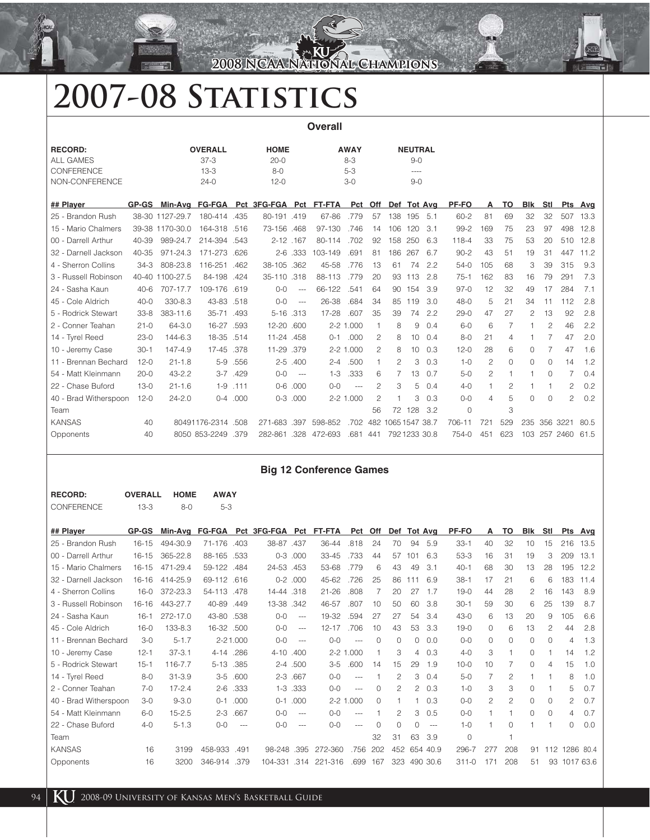### **2008 NCAA National Champions 008**

# **2007-08 Statistics**

| <b>Overall</b>        |              |                 |                    |      |                        |                |         |             |                |                    |                |     |          |                |                |                |             |                |      |
|-----------------------|--------------|-----------------|--------------------|------|------------------------|----------------|---------|-------------|----------------|--------------------|----------------|-----|----------|----------------|----------------|----------------|-------------|----------------|------|
| <b>RECORD:</b>        |              |                 | <b>OVERALL</b>     |      | <b>HOME</b>            |                |         | <b>AWAY</b> |                |                    | <b>NEUTRAL</b> |     |          |                |                |                |             |                |      |
| <b>ALL GAMES</b>      |              |                 | $37-3$             |      | $20 - 0$               |                |         | $8 - 3$     |                |                    | $9 - 0$        |     |          |                |                |                |             |                |      |
| CONFERENCE            |              |                 | $13-3$             |      | $8 - 0$                |                |         | $5 - 3$     |                |                    | $- - - -$      |     |          |                |                |                |             |                |      |
| NON-CONFERENCE        |              |                 | $24-0$             |      | $12 - 0$               |                |         | $3-0$       |                |                    | $9 - 0$        |     |          |                |                |                |             |                |      |
| ## Player             | <b>GP-GS</b> |                 | Min-Avg FG-FGA     |      | Pct 3FG-FGA Pct FT-FTA |                |         | Pct         | Off            |                    | Def Tot Avg    |     | PF-FO    | Α              | TO             | <b>B</b> lk    | Stl         | Pts            | Avq  |
| 25 - Brandon Rush     |              | 38-30 1127-29.7 | 180-414 .435       |      | 80-191 .419            |                | 67-86   | .779        | 57             | 138                | 195            | 5.1 | $60 - 2$ | 81             | 69             | 32             | 32          | 507            | 13.3 |
| 15 - Mario Chalmers   |              | 39-38 1170-30.0 | 164-318            | .516 | 73-156                 | .468           | 97-130  | .746        | 14             | 106                | 120            | 3.1 | $99 - 2$ | 169            | 75             | 23             | 97          | 498            | 12.8 |
| 00 - Darrell Arthur   | 40-39        | 989-24.7        | 214-394 .543       |      | 2-12 .167              |                | 80-114  | .702        | 92             |                    | 158 250        | 6.3 | 118-4    | 33             | 75             | 53             | 20          | 510            | 12.8 |
| 32 - Darnell Jackson  | 40-35        | 971-24.3        | 171-273            | .626 | $2 - 6$                | .333           | 103-149 | .691        | 81             |                    | 186 267        | 6.7 | $90 - 2$ | 43             | 51             | 19             | 31          | 447            | 11.2 |
| 4 - Sherron Collins   | $34-3$       | 808-23.8        | 116-251            | .462 | 38-105                 | .362           | 45-58   | .776        | 13             | 61                 | 74             | 2.2 | $54-0$   | 105            | 68             | 3              | 39          | 315            | 9.3  |
| 3 - Russell Robinson  |              | 40-40 1100-27.5 | 84-198             | .424 | 35-110 .318            |                | 88-113  | .779        | 20             | 93                 | 113            | 2.8 | $75-1$   | 162            | 83             | 16             | 79          | 291            | 7.3  |
| 24 - Sasha Kaun       | $40 - 6$     | 707-17.7        | 109-176            | .619 | $0 - 0$                | $---$          | 66-122  | .541        | 64             | 90                 | 154            | 3.9 | $97-0$   | 12             | 32             | 49             | 17          | 284            | 7.1  |
| 45 - Cole Aldrich     | $40 - 0$     | 330-8.3         | 43-83 .518         |      | $0 - 0$                | $\overline{a}$ | 26-38   | .684        | 34             | 85                 | 119            | 3.0 | $48 - 0$ | 5              | 21             | 34             | 11          | 112            | 2.8  |
| 5 - Rodrick Stewart   | $33 - 8$     | 383-11.6        | $35 - 71$          | .493 | 5-16 .313              |                | 17-28   | .607        | 35             | 39                 | 74             | 2.2 | $29-0$   | 47             | 27             | $\overline{c}$ | 13          | 92             | 2.8  |
| 2 - Conner Teahan     | $21 - 0$     | 64-3.0          | 16-27              | .593 | 12-20 .600             |                |         | 2-2 1.000   | $\overline{1}$ | 8                  | 9              | 0.4 | $6-0$    | 6              | $\overline{7}$ |                | 2           | 46             | 2.2  |
| 14 - Tyrel Reed       | $23-0$       | 144-6.3         | 18-35              | .514 | 11-24 .458             |                | $0 - 1$ | .000        | 2              | 8                  | 10             | 0.4 | $8 - 0$  | 21             | $\overline{4}$ |                | 7           | 47             | 2.0  |
| 10 - Jeremy Case      | $30 - 1$     | 147-4.9         | $17 - 45$          | .378 | 11-29                  | .379           |         | 2-2 1.000   | $\mathfrak{p}$ | 8                  | 10             | 0.3 | $12 - 0$ | 28             | 6              | $\Omega$       | 7           | 47             | 1.6  |
| 11 - Brennan Bechard  | $12 - 0$     | $21 - 1.8$      | $5-9$              | .556 | $2 - 5$                | .400           | $2 - 4$ | .500        | $\overline{1}$ | $\overline{c}$     | 3              | 0.3 | $1 - 0$  | $\overline{c}$ | 0              | $\overline{0}$ | 0           | 14             | 1.2  |
| 54 - Matt Kleinmann   | $20 - 0$     | $43 - 2.2$      | $3 - 7$            | .429 | $0-0$                  | $---$          | $1 - 3$ | .333        | 6              | 7                  | 13             | 0.7 | $5 - 0$  | 2              |                |                | 0           | 7              | 0.4  |
| 22 - Chase Buford     | $13 - 0$     | $21 - 1.6$      | $1 - 9$            | .111 | $0-6$                  | .000           | $0-0$   | $---$       | $\mathcal{P}$  | 3                  | 5              | 0.4 | $4 - 0$  | $\mathbf{1}$   | $\overline{c}$ |                | 1           | $\overline{c}$ | 0.2  |
| 40 - Brad Witherspoon | $12 - 0$     | $24 - 2.0$      | $0 - 4$            | .000 | $0 - 3$                | .000           |         | 2-2 1.000   | $\overline{c}$ |                    | 3              | 0.3 | $0 - 0$  | 4              | 5              | 0              | $\mathbf 0$ | $\overline{c}$ | 0.2  |
| Team                  |              |                 |                    |      |                        |                |         |             | 56             |                    | 72 128         | 3.2 | $\Omega$ |                | 3              |                |             |                |      |
| <b>KANSAS</b>         | 40           |                 | 80491176-2314 .508 |      | 271-683.397            |                | 598-852 | .702        |                | 482 1065 1547 38.7 |                |     | 706-11   | 721            | 529            |                |             | 235 356 3221   | 80.5 |
| Opponents             | 40           |                 | 8050 853-2249      | .379 | 282-861 .328           |                | 472-693 | .681        | 441            |                    | 792123330.8    |     | 754-0    | 451            | 623            |                |             | 103 257 2460   | 61.5 |

#### **Big 12 Conference Games**

| <b>RECORD:</b> | <b>OVERALL</b> | <b>HOME</b> | <b>AWAY</b> |
|----------------|----------------|-------------|-------------|
| CONFERENCE     | $13-3$         | $8-0$       | $5-3$       |

| ## Player             | <b>GP-GS</b> | Min-Avq    |              |              | FG-FGA Pct 3FG-FGA Pct |              | FT-FTA    | Pct       | Off      |               | Def Tot Avg    |              | PF-FO     | A              | TO       | Blk            | Stl            | Pts Avg       |      |
|-----------------------|--------------|------------|--------------|--------------|------------------------|--------------|-----------|-----------|----------|---------------|----------------|--------------|-----------|----------------|----------|----------------|----------------|---------------|------|
| 25 - Brandon Rush     | 16-15        | 494-30.9   | 71-176       | .403         | 38-87.437              |              | 36-44     | .818      | 24       | 70            | 94             | 5.9          | $33 - 1$  | 40             | 32       | 10             | 15             | 216           | 13.5 |
| 00 - Darrell Arthur   | $16 - 15$    | 365-22.8   | 88-165       | .533         | $0 - 3$                | .000         | 33-45     | .733      | 44       | 57            | 101            | 6.3          | $53-3$    | 16             | 31       | 19             | 3              | 209           | 13.1 |
| 15 - Mario Chalmers   | 16-15        | 471-29.4   | 59-122 .484  |              | 24-53.453              |              | 53-68     | .779      | 6        | 43            | 49             | 3.1          | $40 - 1$  | 68             | 30       | 13             | 28             | 195           | 12.2 |
| 32 - Darnell Jackson  | $16 - 16$    | 414-25.9   | 69-112 .616  |              |                        | $0-2$ .000   | 45-62     | .726      | 25       | 86            | 111            | 6.9          | $38-1$    | 17             | 21       | 6              | 6              | 183           | 11.4 |
| 4 - Sherron Collins   | 16-0         | 372-23.3   | 54-113.478   |              | 14-44 .318             |              | $21 - 26$ | .808      |          | 20            | 27             | 1.7          | $19-0$    | 44             | 28       | $\overline{c}$ | 16             | 143           | 8.9  |
| 3 - Russell Robinson  | $16 - 16$    | 443-27.7   | 40-89        | .449         | 13-38.342              |              | 46-57     | .807      | 10       | 50            | 60             | 3.8          | $30 - 1$  | 59             | 30       | 6              | 25             | 139           | 8.7  |
| 24 - Sasha Kaun       | $16 - 1$     | 272-17.0   | 43-80 .538   |              | $0-0$                  | $--$         | 19-32     | .594      | 27       | 27            | 54             | 3.4          | $43 - 0$  | 6              | 13       | 20             | 9              | 105           | 6.6  |
| 45 - Cole Aldrich     | $16 - 0$     | 133-8.3    | 16-32 .500   |              | $0-0$                  | $\cdots$     | $12 - 17$ | .706      | 10       | 43            | 53             | 3.3          | $19-0$    | $\Omega$       | 6        | 13             | $\overline{c}$ | 44            | 2.8  |
| 11 - Brennan Bechard  | $3-0$        | $5 - 1.7$  |              | $2 - 21.000$ | $0 - 0$                | $\cdots$     | $0 - 0$   | $---$     | $\Omega$ | $\Omega$      | 0              | 0.0          | $0-0$     | $\Omega$       | $\Omega$ | 0              | $\Omega$       | 4             | 1.3  |
| 10 - Jeremy Case      | $12 - 1$     | $37 - 3.1$ | $4 - 14$     | .286         | $4 - 10$               | .400         |           | 2-2 1.000 |          | 3             | 4              | 0.3          | $4 - 0$   | 3              |          | $\Omega$       |                | 14            | 1.2  |
| 5 - Rodrick Stewart   | $15 - 1$     | 116-7.7    | $5 - 13$     | .385         |                        | $2 - 4$ .500 | $3-5$     | .600      | 14       | 15            | 29             | 1.9          | $10 - 0$  | 10             |          | 0              | $\overline{4}$ | 15            | 1.0  |
| 14 - Tyrel Reed       | $8-0$        | $31 - 3.9$ | $3-5$        | .600         | $2 - 3$                | .667         | $O-O$     | $---$     |          | $\mathcal{P}$ | З              | 0.4          | $5-0$     | 7              | 2        |                |                | 8             | 1.0  |
| 2 - Conner Teahan     | $7 - 0$      | $17 - 2.4$ | $2 - 6$      | .333         | $1-3$                  | .333         | $O-O$     | $\cdots$  | $\Omega$ | 2             | $\overline{2}$ | 0.3          | $1 - 0$   | 3              | 3        | 0              |                | 5             | 0.7  |
| 40 - Brad Witherspoon | $3-0$        | $9 - 3.0$  | $O - 1$      | .000         | $O - 1$                | .000         |           | 2-2 1.000 | $\Omega$ |               |                | 0.3          | $O-O$     | $\mathfrak{p}$ | 2        | $\mathbf{0}$   | 0              | 2             | 0.7  |
| 54 - Matt Kleinmann   | $6-0$        | $15 - 2.5$ | $2 - 3$      | .667         | $0-0$                  | $---$        | $O-O$     | $\cdots$  |          | 2             | 3              | 0.5          | $0-0$     |                |          | 0              | 0              | 4             | 0.7  |
| 22 - Chase Buford     | $4-0$        | $5 - 1.3$  | $0 - 0$      | $---$        | $0 - 0$                | $---$        | $O-O$     | $---$     | $\Omega$ | $\Omega$      | 0              | $\cdots$     | $1 - 0$   |                | $\Omega$ |                |                | 0             | 0.0  |
| Team                  |              |            |              |              |                        |              |           |           | 32       | 31            | 63             | 3.9          | $\circ$   |                |          |                |                |               |      |
| <b>KANSAS</b>         | 16           | 3199       | 458-933      | .491         | 98-248.395             |              | 272-360   | .756      | 202      |               |                | 452 654 40.9 | 296-7     | 277            | 208      | 91             |                | 112 1286 80.4 |      |
| Opponents             | 16           | 3200       | 346-914 .379 |              | 104-331                | .314         | 221-316   | .699      | 167      | 323           |                | 490 30.6     | $311 - 0$ | 171            | 208      | 51             |                | 93 1017 63.6  |      |
|                       |              |            |              |              |                        |              |           |           |          |               |                |              |           |                |          |                |                |               |      |